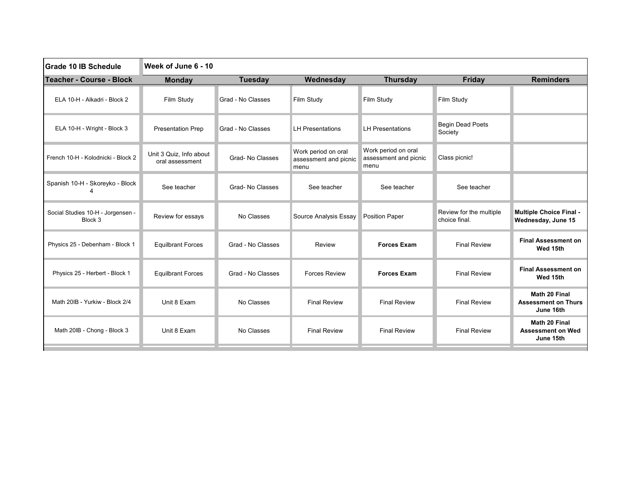| Grade 10 IB Schedule                         | Week of June 6 - 10                        |                   |                                                      |                                                      |                                          |                                                          |
|----------------------------------------------|--------------------------------------------|-------------------|------------------------------------------------------|------------------------------------------------------|------------------------------------------|----------------------------------------------------------|
| <b>Teacher - Course - Block</b>              | <b>Monday</b>                              | <b>Tuesday</b>    | Wednesday                                            | <b>Thursday</b>                                      | Friday                                   | <b>Reminders</b>                                         |
| ELA 10-H - Alkadri - Block 2                 | Film Study                                 | Grad - No Classes | Film Study                                           | Film Study                                           | Film Study                               |                                                          |
| ELA 10-H - Wright - Block 3                  | <b>Presentation Prep</b>                   | Grad - No Classes | <b>LH Presentations</b>                              | <b>LH Presentations</b>                              | <b>Begin Dead Poets</b><br>Society       |                                                          |
| French 10-H - Kolodnicki - Block 2           | Unit 3 Quiz. Info about<br>oral assessment | Grad- No Classes  | Work period on oral<br>assessment and picnic<br>menu | Work period on oral<br>assessment and picnic<br>menu | Class picnic!                            |                                                          |
| Spanish 10-H - Skoreyko - Block              | See teacher                                | Grad-No Classes   | See teacher                                          | See teacher                                          | See teacher                              |                                                          |
| Social Studies 10-H - Jorgensen -<br>Block 3 | Review for essays                          | No Classes        | Source Analysis Essay                                | <b>Position Paper</b>                                | Review for the multiple<br>choice final. | <b>Multiple Choice Final -</b><br>Wednesday, June 15     |
| Physics 25 - Debenham - Block 1              | <b>Equilbrant Forces</b>                   | Grad - No Classes | Review                                               | <b>Forces Exam</b>                                   | <b>Final Review</b>                      | <b>Final Assessment on</b><br>Wed 15th                   |
| Physics 25 - Herbert - Block 1               | <b>Equilbrant Forces</b>                   | Grad - No Classes | <b>Forces Review</b>                                 | <b>Forces Exam</b>                                   | <b>Final Review</b>                      | <b>Final Assessment on</b><br>Wed 15th                   |
| Math 20IB - Yurkiw - Block 2/4               | Unit 8 Exam                                | No Classes        | <b>Final Review</b>                                  | <b>Final Review</b>                                  | <b>Final Review</b>                      | Math 20 Final<br><b>Assessment on Thurs</b><br>June 16th |
| Math 20IB - Chong - Block 3                  | Unit 8 Exam                                | No Classes        | <b>Final Review</b>                                  | <b>Final Review</b>                                  | <b>Final Review</b>                      | Math 20 Final<br><b>Assessment on Wed</b><br>June 15th   |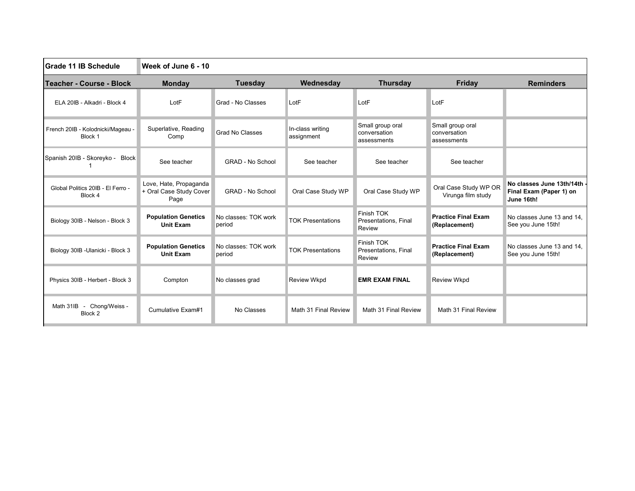| Grade 11 IB Schedule                         | Week of June 6 - 10                                       |                                |                                |                                                 |                                                 |                                                                      |
|----------------------------------------------|-----------------------------------------------------------|--------------------------------|--------------------------------|-------------------------------------------------|-------------------------------------------------|----------------------------------------------------------------------|
| Teacher - Course - Block                     | <b>Monday</b>                                             | <b>Tuesday</b>                 | Wednesday                      | <b>Thursday</b>                                 | <b>Friday</b>                                   | <b>Reminders</b>                                                     |
| ELA 20IB - Alkadri - Block 4                 | LotF                                                      | Grad - No Classes              | LotF                           | LotF                                            | LotF                                            |                                                                      |
| French 20IB - Kolodnicki/Mageau -<br>Block 1 | Superlative, Reading<br>Comp                              | <b>Grad No Classes</b>         | In-class writing<br>assignment | Small group oral<br>conversation<br>assessments | Small group oral<br>conversation<br>assessments |                                                                      |
| Spanish 20IB - Skoreyko - Block              | See teacher                                               | <b>GRAD - No School</b>        | See teacher                    | See teacher                                     | See teacher                                     |                                                                      |
| Global Politics 20IB - El Ferro -<br>Block 4 | Love, Hate, Propaganda<br>+ Oral Case Study Cover<br>Page | <b>GRAD - No School</b>        | Oral Case Study WP             | Oral Case Study WP                              | Oral Case Study WP OR<br>Virunga film study     | No classes June 13th/14th -<br>Final Exam (Paper 1) on<br>June 16th! |
| Biology 30IB - Nelson - Block 3              | <b>Population Genetics</b><br><b>Unit Exam</b>            | No classes: TOK work<br>period | <b>TOK Presentations</b>       | Finish TOK<br>Presentations, Final<br>Review    | <b>Practice Final Exam</b><br>(Replacement)     | No classes June 13 and 14.<br>See you June 15th!                     |
| Biology 30IB - Ulanicki - Block 3            | <b>Population Genetics</b><br><b>Unit Exam</b>            | No classes: TOK work<br>period | <b>TOK Presentations</b>       | Finish TOK<br>Presentations, Final<br>Review    | <b>Practice Final Exam</b><br>(Replacement)     | No classes June 13 and 14.<br>See you June 15th!                     |
| Physics 30IB - Herbert - Block 3             | Compton                                                   | No classes grad                | <b>Review Wkpd</b>             | <b>EMR EXAM FINAL</b>                           | <b>Review Wkpd</b>                              |                                                                      |
| Math 31IB - Chong/Weiss -<br>Block 2         | Cumulative Exam#1                                         | No Classes                     | Math 31 Final Review           | Math 31 Final Review                            | Math 31 Final Review                            |                                                                      |